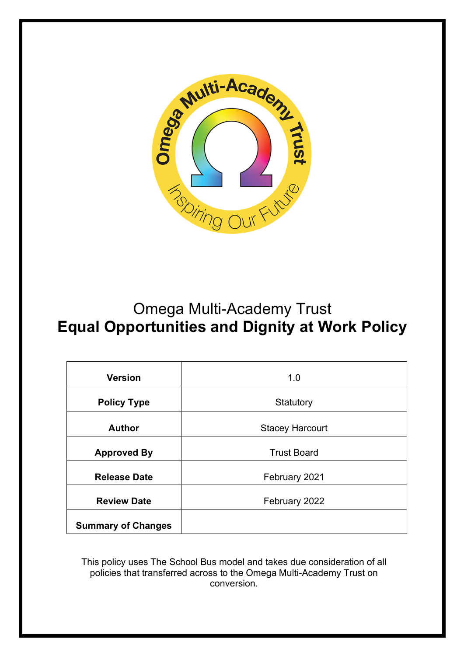

# Omega Multi-Academy Trust **Equal Opportunities and Dignity at Work Policy**

| <b>Version</b>            | 1.0                    |  |  |  |
|---------------------------|------------------------|--|--|--|
| <b>Policy Type</b>        | Statutory              |  |  |  |
| <b>Author</b>             | <b>Stacey Harcourt</b> |  |  |  |
| <b>Approved By</b>        | <b>Trust Board</b>     |  |  |  |
| <b>Release Date</b>       | February 2021          |  |  |  |
| <b>Review Date</b>        | February 2022          |  |  |  |
| <b>Summary of Changes</b> |                        |  |  |  |

This policy uses The School Bus model and takes due consideration of all policies that transferred across to the Omega Multi-Academy Trust on conversion.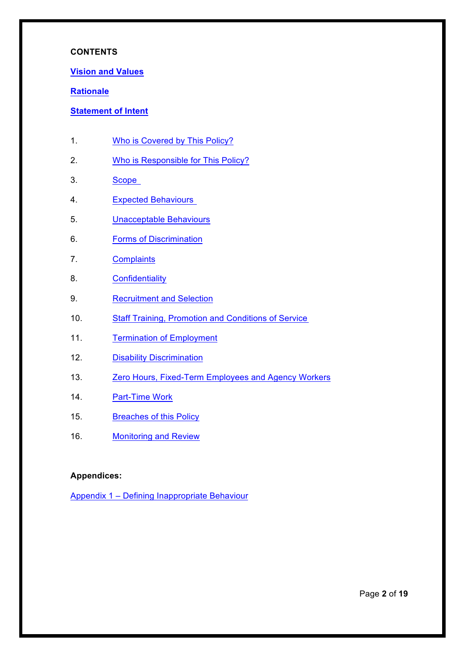### **CONTENTS**

#### **Vision and Values**

### **Rationale**

### **Statement of Intent**

- 1. Who is Covered by This Policy?
- 2. Who is Responsible for This Policy?
- 3. Scope
- 4. Expected Behaviours
- 5. Unacceptable Behaviours
- 6. Forms of Discrimination
- 7. Complaints
- 8. Confidentiality
- 9. Recruitment and Selection
- 10. Staff Training, Promotion and Conditions of Service
- 11. Termination of Employment
- 12. Disability Discrimination
- 13. Zero Hours, Fixed-Term Employees and Agency Workers
- 14. Part-Time Work
- 15. Breaches of this Policy
- 16. Monitoring and Review

### **Appendices:**

Appendix 1 – Defining Inappropriate Behaviour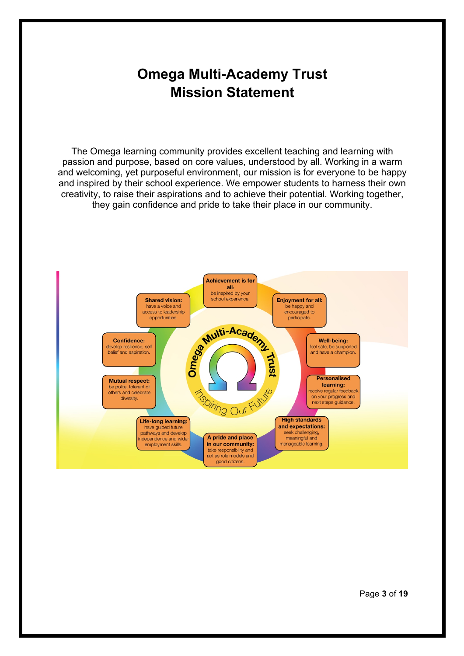# **Omega Multi-Academy Trust Mission Statement**

The Omega learning community provides excellent teaching and learning with passion and purpose, based on core values, understood by all. Working in a warm and welcoming, yet purposeful environment, our mission is for everyone to be happy and inspired by their school experience. We empower students to harness their own creativity, to raise their aspirations and to achieve their potential. Working together, they gain confidence and pride to take their place in our community.

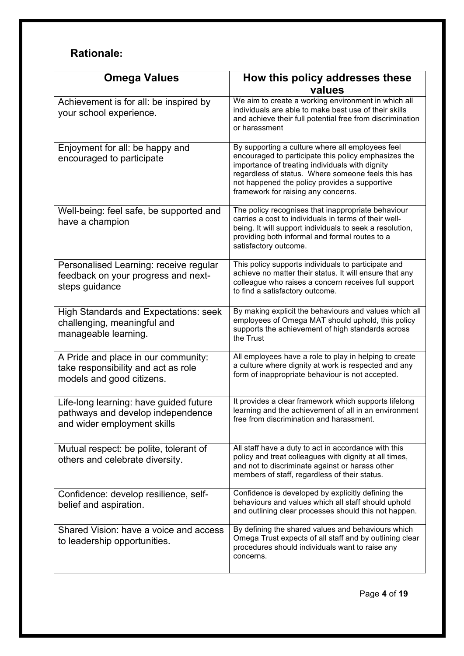# **Rationale:**

| <b>Omega Values</b>                                                                                        | How this policy addresses these                                                                                                                                                                                                                                                                           |  |  |
|------------------------------------------------------------------------------------------------------------|-----------------------------------------------------------------------------------------------------------------------------------------------------------------------------------------------------------------------------------------------------------------------------------------------------------|--|--|
|                                                                                                            | values                                                                                                                                                                                                                                                                                                    |  |  |
| Achievement is for all: be inspired by<br>your school experience.                                          | We aim to create a working environment in which all<br>individuals are able to make best use of their skills<br>and achieve their full potential free from discrimination<br>or harassment                                                                                                                |  |  |
| Enjoyment for all: be happy and<br>encouraged to participate                                               | By supporting a culture where all employees feel<br>encouraged to participate this policy emphasizes the<br>importance of treating individuals with dignity<br>regardless of status. Where someone feels this has<br>not happened the policy provides a supportive<br>framework for raising any concerns. |  |  |
| Well-being: feel safe, be supported and<br>have a champion                                                 | The policy recognises that inappropriate behaviour<br>carries a cost to individuals in terms of their well-<br>being. It will support individuals to seek a resolution,<br>providing both informal and formal routes to a<br>satisfactory outcome.                                                        |  |  |
| Personalised Learning: receive regular<br>feedback on your progress and next-<br>steps guidance            | This policy supports individuals to participate and<br>achieve no matter their status. It will ensure that any<br>colleague who raises a concern receives full support<br>to find a satisfactory outcome.                                                                                                 |  |  |
| <b>High Standards and Expectations: seek</b><br>challenging, meaningful and<br>manageable learning.        | By making explicit the behaviours and values which all<br>employees of Omega MAT should uphold, this policy<br>supports the achievement of high standards across<br>the Trust                                                                                                                             |  |  |
| A Pride and place in our community:<br>take responsibility and act as role<br>models and good citizens.    | All employees have a role to play in helping to create<br>a culture where dignity at work is respected and any<br>form of inappropriate behaviour is not accepted.                                                                                                                                        |  |  |
| Life-long learning: have guided future<br>pathways and develop independence<br>and wider employment skills | It provides a clear framework which supports lifelong<br>learning and the achievement of all in an environment<br>free from discrimination and harassment.                                                                                                                                                |  |  |
| Mutual respect: be polite, tolerant of<br>others and celebrate diversity.                                  | All staff have a duty to act in accordance with this<br>policy and treat colleagues with dignity at all times,<br>and not to discriminate against or harass other<br>members of staff, regardless of their status.                                                                                        |  |  |
| Confidence: develop resilience, self-<br>belief and aspiration.                                            | Confidence is developed by explicitly defining the<br>behaviours and values which all staff should uphold<br>and outlining clear processes should this not happen.                                                                                                                                        |  |  |
| Shared Vision: have a voice and access<br>to leadership opportunities.                                     | By defining the shared values and behaviours which<br>Omega Trust expects of all staff and by outlining clear<br>procedures should individuals want to raise any<br>concerns.                                                                                                                             |  |  |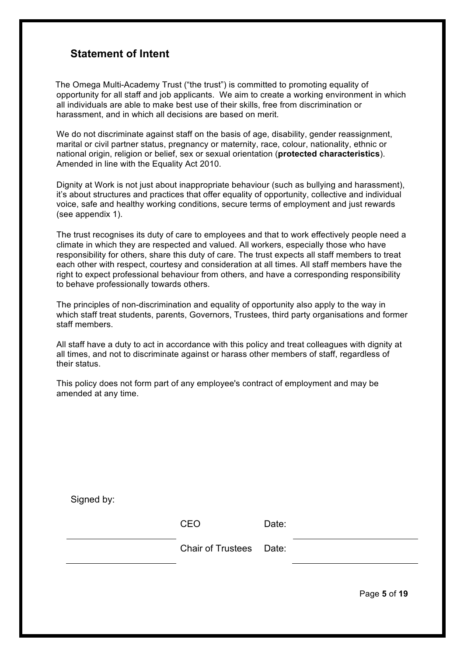### **Statement of Intent**

 The Omega Multi-Academy Trust ("the trust") is committed to promoting equality of opportunity for all staff and job applicants. We aim to create a working environment in which all individuals are able to make best use of their skills, free from discrimination or harassment, and in which all decisions are based on merit.

We do not discriminate against staff on the basis of age, disability, gender reassignment, marital or civil partner status, pregnancy or maternity, race, colour, nationality, ethnic or national origin, religion or belief, sex or sexual orientation (**protected characteristics**). Amended in line with the Equality Act 2010.

Dignity at Work is not just about inappropriate behaviour (such as bullying and harassment), it's about structures and practices that offer equality of opportunity, collective and individual voice, safe and healthy working conditions, secure terms of employment and just rewards (see appendix 1).

The trust recognises its duty of care to employees and that to work effectively people need a climate in which they are respected and valued. All workers, especially those who have responsibility for others, share this duty of care. The trust expects all staff members to treat each other with respect, courtesy and consideration at all times. All staff members have the right to expect professional behaviour from others, and have a corresponding responsibility to behave professionally towards others.

The principles of non-discrimination and equality of opportunity also apply to the way in which staff treat students, parents, Governors, Trustees, third party organisations and former staff members.

All staff have a duty to act in accordance with this policy and treat colleagues with dignity at all times, and not to discriminate against or harass other members of staff, regardless of their status.

This policy does not form part of any employee's contract of employment and may be amended at any time.

| Signed by: |                         |       |  |
|------------|-------------------------|-------|--|
|            | <b>CEO</b>              | Date: |  |
|            | Chair of Trustees Date: |       |  |
|            |                         |       |  |

Page **5** of **19**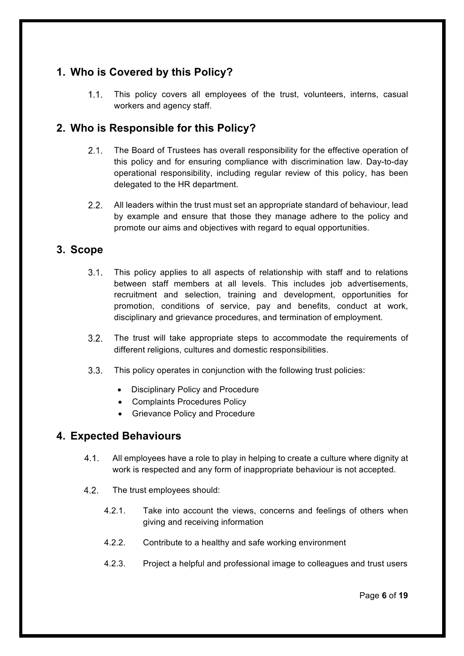# **1. Who is Covered by this Policy?**

This policy covers all employees of the trust, volunteers, interns, casual  $1.1.$ workers and agency staff.

# **2. Who is Responsible for this Policy?**

- $2.1.$ The Board of Trustees has overall responsibility for the effective operation of this policy and for ensuring compliance with discrimination law. Day-to-day operational responsibility, including regular review of this policy, has been delegated to the HR department.
- $2.2.$ All leaders within the trust must set an appropriate standard of behaviour, lead by example and ensure that those they manage adhere to the policy and promote our aims and objectives with regard to equal opportunities.

### **3. Scope**

- $3.1.$ This policy applies to all aspects of relationship with staff and to relations between staff members at all levels. This includes job advertisements, recruitment and selection, training and development, opportunities for promotion, conditions of service, pay and benefits, conduct at work, disciplinary and grievance procedures, and termination of employment.
- $3.2.$ The trust will take appropriate steps to accommodate the requirements of different religions, cultures and domestic responsibilities.
- $3.3.$ This policy operates in conjunction with the following trust policies:
	- Disciplinary Policy and Procedure
	- Complaints Procedures Policy
	- Grievance Policy and Procedure

### **4. Expected Behaviours**

- $4.1$ All employees have a role to play in helping to create a culture where dignity at work is respected and any form of inappropriate behaviour is not accepted.
- $4.2.$ The trust employees should:
	- 4.2.1. Take into account the views, concerns and feelings of others when giving and receiving information
	- 4.2.2. Contribute to a healthy and safe working environment
	- 4.2.3. Project a helpful and professional image to colleagues and trust users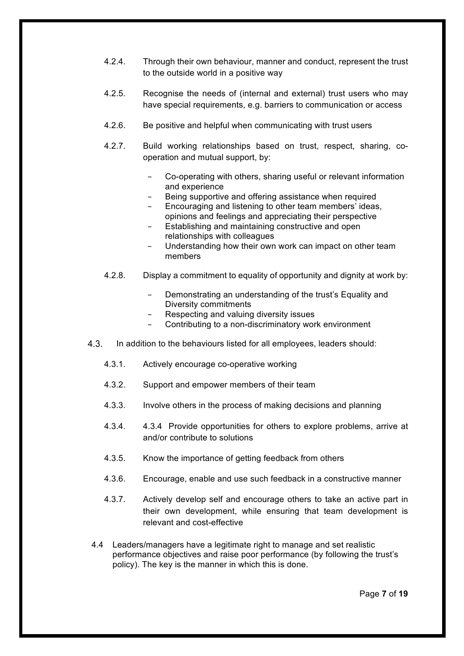- 4.2.4. Through their own behaviour, manner and conduct, represent the trust to the outside world in a positive way
- 4.2.5. Recognise the needs of (internal and external) trust users who may have special requirements, e.g. barriers to communication or access
- 4.2.6. Be positive and helpful when communicating with trust users
- 4.2.7. Build working relationships based on trust, respect, sharing, cooperation and mutual support, by:
	- Co-operating with others, sharing useful or relevant information and experience
	- Being supportive and offering assistance when required
	- Encouraging and listening to other team members' ideas, opinions and feelings and appreciating their perspective
	- Establishing and maintaining constructive and open relationships with colleagues
	- Understanding how their own work can impact on other team members
- 4.2.8. Display a commitment to equality of opportunity and dignity at work by:
	- Demonstrating an understanding of the trust's Equality and Diversity commitments
	- − Respecting and valuing diversity issues
	- − Contributing to a non-discriminatory work environment
- $4.3.$ In addition to the behaviours listed for all employees, leaders should:
	- 4.3.1. Actively encourage co-operative working
	- 4.3.2. Support and empower members of their team
	- 4.3.3. Involve others in the process of making decisions and planning
	- 4.3.4. 4.3.4 Provide opportunities for others to explore problems, arrive at and/or contribute to solutions
	- 4.3.5. Know the importance of getting feedback from others
	- 4.3.6. Encourage, enable and use such feedback in a constructive manner
	- 4.3.7. Actively develop self and encourage others to take an active part in their own development, while ensuring that team development is relevant and cost-effective
- 4.4 Leaders/managers have a legitimate right to manage and set realistic performance objectives and raise poor performance (by following the trust's policy). The key is the manner in which this is done.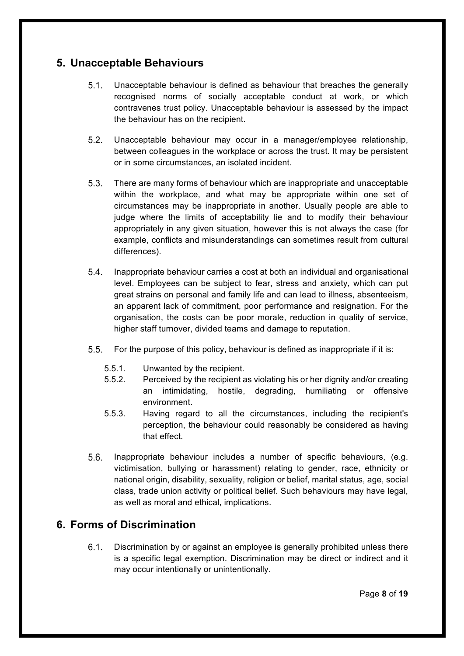## **5. Unacceptable Behaviours**

- $5.1.$ Unacceptable behaviour is defined as behaviour that breaches the generally recognised norms of socially acceptable conduct at work, or which contravenes trust policy. Unacceptable behaviour is assessed by the impact the behaviour has on the recipient.
- $5.2.$ Unacceptable behaviour may occur in a manager/employee relationship, between colleagues in the workplace or across the trust. It may be persistent or in some circumstances, an isolated incident.
- $5.3.$ There are many forms of behaviour which are inappropriate and unacceptable within the workplace, and what may be appropriate within one set of circumstances may be inappropriate in another. Usually people are able to judge where the limits of acceptability lie and to modify their behaviour appropriately in any given situation, however this is not always the case (for example, conflicts and misunderstandings can sometimes result from cultural differences).
- Inappropriate behaviour carries a cost at both an individual and organisational  $5.4.$ level. Employees can be subject to fear, stress and anxiety, which can put great strains on personal and family life and can lead to illness, absenteeism, an apparent lack of commitment, poor performance and resignation. For the organisation, the costs can be poor morale, reduction in quality of service, higher staff turnover, divided teams and damage to reputation.
- $5.5.$ For the purpose of this policy, behaviour is defined as inappropriate if it is:
	- 5.5.1. Unwanted by the recipient.
	- 5.5.2. Perceived by the recipient as violating his or her dignity and/or creating an intimidating, hostile, degrading, humiliating or offensive environment.
	- 5.5.3. Having regard to all the circumstances, including the recipient's perception, the behaviour could reasonably be considered as having that effect.
- $5.6.$ Inappropriate behaviour includes a number of specific behaviours, (e.g. victimisation, bullying or harassment) relating to gender, race, ethnicity or national origin, disability, sexuality, religion or belief, marital status, age, social class, trade union activity or political belief. Such behaviours may have legal, as well as moral and ethical, implications.

## **6. Forms of Discrimination**

 $6.1$ Discrimination by or against an employee is generally prohibited unless there is a specific legal exemption. Discrimination may be direct or indirect and it may occur intentionally or unintentionally.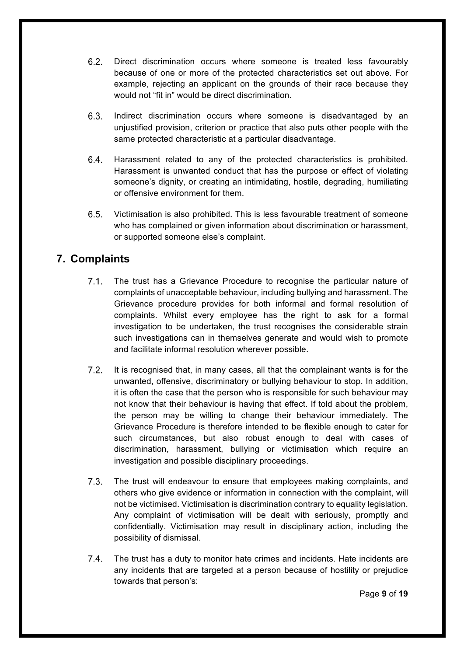- $6.2.$ Direct discrimination occurs where someone is treated less favourably because of one or more of the protected characteristics set out above. For example, rejecting an applicant on the grounds of their race because they would not "fit in" would be direct discrimination.
- $6.3.$ Indirect discrimination occurs where someone is disadvantaged by an unjustified provision, criterion or practice that also puts other people with the same protected characteristic at a particular disadvantage.
- 64 Harassment related to any of the protected characteristics is prohibited. Harassment is unwanted conduct that has the purpose or effect of violating someone's dignity, or creating an intimidating, hostile, degrading, humiliating or offensive environment for them.
- $6.5.$ Victimisation is also prohibited. This is less favourable treatment of someone who has complained or given information about discrimination or harassment, or supported someone else's complaint.

# **7. Complaints**

- $7.1.$ The trust has a Grievance Procedure to recognise the particular nature of complaints of unacceptable behaviour, including bullying and harassment. The Grievance procedure provides for both informal and formal resolution of complaints. Whilst every employee has the right to ask for a formal investigation to be undertaken, the trust recognises the considerable strain such investigations can in themselves generate and would wish to promote and facilitate informal resolution wherever possible.
- $7.2.$ It is recognised that, in many cases, all that the complainant wants is for the unwanted, offensive, discriminatory or bullying behaviour to stop. In addition, it is often the case that the person who is responsible for such behaviour may not know that their behaviour is having that effect. If told about the problem, the person may be willing to change their behaviour immediately. The Grievance Procedure is therefore intended to be flexible enough to cater for such circumstances, but also robust enough to deal with cases of discrimination, harassment, bullying or victimisation which require an investigation and possible disciplinary proceedings.
- $7.3.$ The trust will endeavour to ensure that employees making complaints, and others who give evidence or information in connection with the complaint, will not be victimised. Victimisation is discrimination contrary to equality legislation. Any complaint of victimisation will be dealt with seriously, promptly and confidentially. Victimisation may result in disciplinary action, including the possibility of dismissal.
- $7.4.$ The trust has a duty to monitor hate crimes and incidents. Hate incidents are any incidents that are targeted at a person because of hostility or prejudice towards that person's: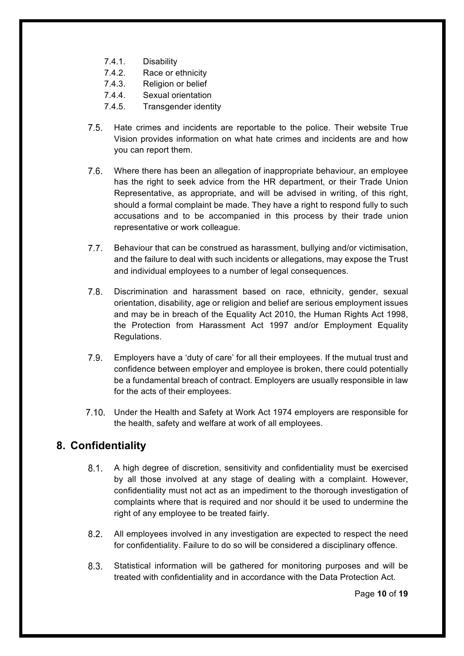- 7.4.1. Disability
- 7.4.2. Race or ethnicity
- 7.4.3. Religion or belief
- 7.4.4. Sexual orientation
- 7.4.5. Transgender identity
- $7.5$ Hate crimes and incidents are reportable to the police. Their website True Vision provides information on what hate crimes and incidents are and how you can report them.
- Where there has been an allegation of inappropriate behaviour, an employee has the right to seek advice from the HR department, or their Trade Union Representative, as appropriate, and will be advised in writing, of this right, should a formal complaint be made. They have a right to respond fully to such accusations and to be accompanied in this process by their trade union representative or work colleague.
- $7.7.$ Behaviour that can be construed as harassment, bullying and/or victimisation, and the failure to deal with such incidents or allegations, may expose the Trust and individual employees to a number of legal consequences.
- $7.8.$ Discrimination and harassment based on race, ethnicity, gender, sexual orientation, disability, age or religion and belief are serious employment issues and may be in breach of the Equality Act 2010, the Human Rights Act 1998, the Protection from Harassment Act 1997 and/or Employment Equality Regulations.
- $7.9.$ Employers have a 'duty of care' for all their employees. If the mutual trust and confidence between employer and employee is broken, there could potentially be a fundamental breach of contract. Employers are usually responsible in law for the acts of their employees.
- 7.10. Under the Health and Safety at Work Act 1974 employers are responsible for the health, safety and welfare at work of all employees.

### **8. Confidentiality**

- $8.1$ A high degree of discretion, sensitivity and confidentiality must be exercised by all those involved at any stage of dealing with a complaint. However, confidentiality must not act as an impediment to the thorough investigation of complaints where that is required and nor should it be used to undermine the right of any employee to be treated fairly.
- $8.2.$ All employees involved in any investigation are expected to respect the need for confidentiality. Failure to do so will be considered a disciplinary offence.
- $8.3.$ Statistical information will be gathered for monitoring purposes and will be treated with confidentiality and in accordance with the Data Protection Act.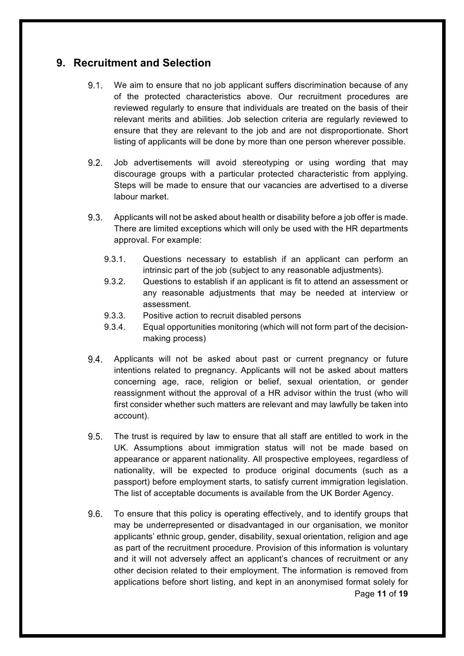### **9. Recruitment and Selection**

- $9.1$ We aim to ensure that no job applicant suffers discrimination because of any of the protected characteristics above. Our recruitment procedures are reviewed regularly to ensure that individuals are treated on the basis of their relevant merits and abilities. Job selection criteria are regularly reviewed to ensure that they are relevant to the job and are not disproportionate. Short listing of applicants will be done by more than one person wherever possible.
- $9.2$ Job advertisements will avoid stereotyping or using wording that may discourage groups with a particular protected characteristic from applying. Steps will be made to ensure that our vacancies are advertised to a diverse labour market.
- $9.3.$ Applicants will not be asked about health or disability before a job offer is made. There are limited exceptions which will only be used with the HR departments approval. For example:
	- 9.3.1. Questions necessary to establish if an applicant can perform an intrinsic part of the job (subject to any reasonable adjustments).
	- 9.3.2. Questions to establish if an applicant is fit to attend an assessment or any reasonable adjustments that may be needed at interview or assessment.
	- 9.3.3. Positive action to recruit disabled persons
	- 9.3.4. Equal opportunities monitoring (which will not form part of the decisionmaking process)
- $9.4.$ Applicants will not be asked about past or current pregnancy or future intentions related to pregnancy. Applicants will not be asked about matters concerning age, race, religion or belief, sexual orientation, or gender reassignment without the approval of a HR advisor within the trust (who will first consider whether such matters are relevant and may lawfully be taken into account).
- $9.5.$ The trust is required by law to ensure that all staff are entitled to work in the UK. Assumptions about immigration status will not be made based on appearance or apparent nationality. All prospective employees, regardless of nationality, will be expected to produce original documents (such as a passport) before employment starts, to satisfy current immigration legislation. The list of acceptable documents is available from the UK Border Agency.
- $9.6.$ To ensure that this policy is operating effectively, and to identify groups that may be underrepresented or disadvantaged in our organisation, we monitor applicants' ethnic group, gender, disability, sexual orientation, religion and age as part of the recruitment procedure. Provision of this information is voluntary and it will not adversely affect an applicant's chances of recruitment or any other decision related to their employment. The information is removed from applications before short listing, and kept in an anonymised format solely for Page **11** of **19**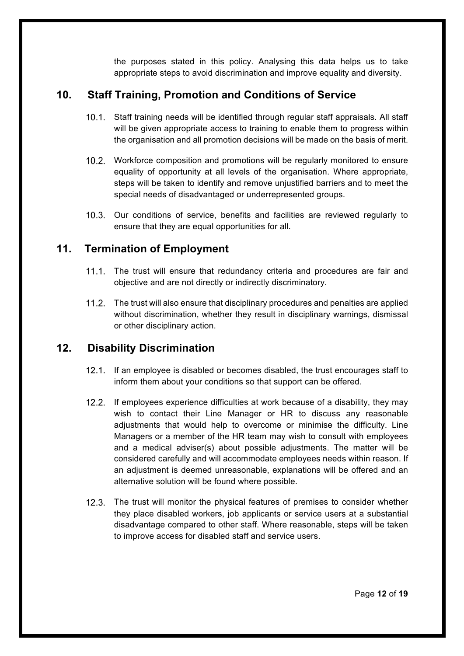the purposes stated in this policy. Analysing this data helps us to take appropriate steps to avoid discrimination and improve equality and diversity.

# **10. Staff Training, Promotion and Conditions of Service**

- 10.1. Staff training needs will be identified through regular staff appraisals. All staff will be given appropriate access to training to enable them to progress within the organisation and all promotion decisions will be made on the basis of merit.
- Workforce composition and promotions will be regularly monitored to ensure equality of opportunity at all levels of the organisation. Where appropriate, steps will be taken to identify and remove unjustified barriers and to meet the special needs of disadvantaged or underrepresented groups.
- 10.3. Our conditions of service, benefits and facilities are reviewed regularly to ensure that they are equal opportunities for all.

## **11. Termination of Employment**

- $11.1.$ The trust will ensure that redundancy criteria and procedures are fair and objective and are not directly or indirectly discriminatory.
- The trust will also ensure that disciplinary procedures and penalties are applied without discrimination, whether they result in disciplinary warnings, dismissal or other disciplinary action.

# **12. Disability Discrimination**

- 12.1. If an employee is disabled or becomes disabled, the trust encourages staff to inform them about your conditions so that support can be offered.
- 12.2. If employees experience difficulties at work because of a disability, they may wish to contact their Line Manager or HR to discuss any reasonable adjustments that would help to overcome or minimise the difficulty. Line Managers or a member of the HR team may wish to consult with employees and a medical adviser(s) about possible adjustments. The matter will be considered carefully and will accommodate employees needs within reason. If an adjustment is deemed unreasonable, explanations will be offered and an alternative solution will be found where possible.
- $12.3.$ The trust will monitor the physical features of premises to consider whether they place disabled workers, job applicants or service users at a substantial disadvantage compared to other staff. Where reasonable, steps will be taken to improve access for disabled staff and service users.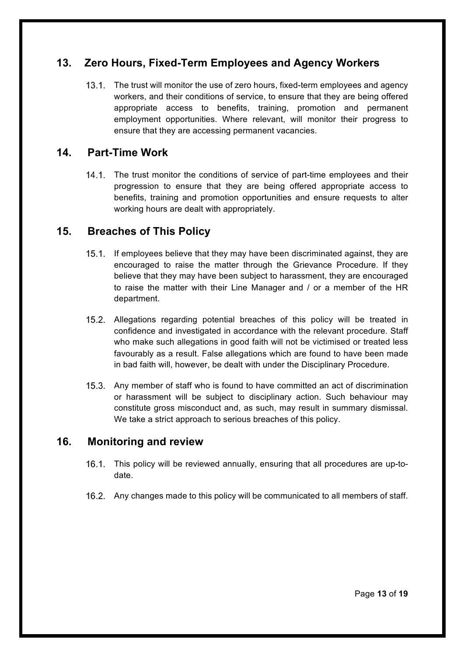# **13. Zero Hours, Fixed-Term Employees and Agency Workers**

 $13.1.$ The trust will monitor the use of zero hours, fixed-term employees and agency workers, and their conditions of service, to ensure that they are being offered appropriate access to benefits, training, promotion and permanent employment opportunities. Where relevant, will monitor their progress to ensure that they are accessing permanent vacancies.

### **14. Part-Time Work**

14.1. The trust monitor the conditions of service of part-time employees and their progression to ensure that they are being offered appropriate access to benefits, training and promotion opportunities and ensure requests to alter working hours are dealt with appropriately.

### **15. Breaches of This Policy**

- $15.1.$ If employees believe that they may have been discriminated against, they are encouraged to raise the matter through the Grievance Procedure. If they believe that they may have been subject to harassment, they are encouraged to raise the matter with their Line Manager and / or a member of the HR department.
- Allegations regarding potential breaches of this policy will be treated in confidence and investigated in accordance with the relevant procedure. Staff who make such allegations in good faith will not be victimised or treated less favourably as a result. False allegations which are found to have been made in bad faith will, however, be dealt with under the Disciplinary Procedure.
- 15.3. Any member of staff who is found to have committed an act of discrimination or harassment will be subject to disciplinary action. Such behaviour may constitute gross misconduct and, as such, may result in summary dismissal. We take a strict approach to serious breaches of this policy.

### **16. Monitoring and review**

- $16.1.$ This policy will be reviewed annually, ensuring that all procedures are up-todate.
- Any changes made to this policy will be communicated to all members of staff.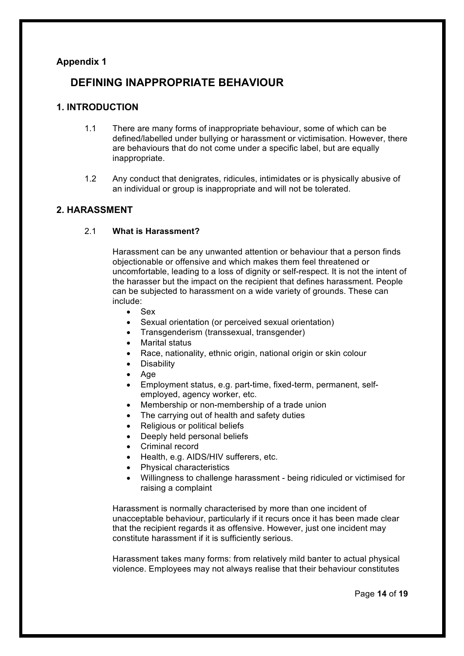### **Appendix 1**

### **DEFINING INAPPROPRIATE BEHAVIOUR**

### **1. INTRODUCTION**

- 1.1 There are many forms of inappropriate behaviour, some of which can be defined/labelled under bullying or harassment or victimisation. However, there are behaviours that do not come under a specific label, but are equally inappropriate.
- 1.2 Any conduct that denigrates, ridicules, intimidates or is physically abusive of an individual or group is inappropriate and will not be tolerated.

### **2. HARASSMENT**

2.1 **What is Harassment?**

Harassment can be any unwanted attention or behaviour that a person finds objectionable or offensive and which makes them feel threatened or uncomfortable, leading to a loss of dignity or self-respect. It is not the intent of the harasser but the impact on the recipient that defines harassment. People can be subjected to harassment on a wide variety of grounds. These can include:

- Sex
- Sexual orientation (or perceived sexual orientation)
- Transgenderism (transsexual, transgender)
- Marital status
- Race, nationality, ethnic origin, national origin or skin colour
- **Disability**
- Age
- Employment status, e.g. part-time, fixed-term, permanent, selfemployed, agency worker, etc.
- Membership or non-membership of a trade union
- The carrying out of health and safety duties
- Religious or political beliefs
- Deeply held personal beliefs
- Criminal record
- Health, e.g. AIDS/HIV sufferers, etc.
- Physical characteristics
- Willingness to challenge harassment being ridiculed or victimised for raising a complaint

Harassment is normally characterised by more than one incident of unacceptable behaviour, particularly if it recurs once it has been made clear that the recipient regards it as offensive. However, just one incident may constitute harassment if it is sufficiently serious.

Harassment takes many forms: from relatively mild banter to actual physical violence. Employees may not always realise that their behaviour constitutes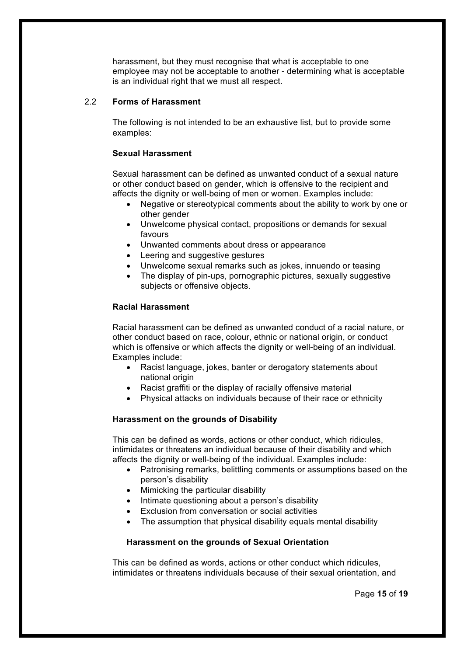harassment, but they must recognise that what is acceptable to one employee may not be acceptable to another - determining what is acceptable is an individual right that we must all respect.

### 2.2 **Forms of Harassment**

The following is not intended to be an exhaustive list, but to provide some examples:

#### **Sexual Harassment**

Sexual harassment can be defined as unwanted conduct of a sexual nature or other conduct based on gender, which is offensive to the recipient and affects the dignity or well-being of men or women. Examples include:

- Negative or stereotypical comments about the ability to work by one or other gender
- Unwelcome physical contact, propositions or demands for sexual favours
- Unwanted comments about dress or appearance
- Leering and suggestive gestures
- Unwelcome sexual remarks such as jokes, innuendo or teasing
- The display of pin-ups, pornographic pictures, sexually suggestive subjects or offensive objects.

#### **Racial Harassment**

Racial harassment can be defined as unwanted conduct of a racial nature, or other conduct based on race, colour, ethnic or national origin, or conduct which is offensive or which affects the dignity or well-being of an individual. Examples include:

- Racist language, jokes, banter or derogatory statements about national origin
- Racist graffiti or the display of racially offensive material
- Physical attacks on individuals because of their race or ethnicity

### **Harassment on the grounds of Disability**

This can be defined as words, actions or other conduct, which ridicules, intimidates or threatens an individual because of their disability and which affects the dignity or well-being of the individual. Examples include:

- Patronising remarks, belittling comments or assumptions based on the person's disability
- Mimicking the particular disability
- Intimate questioning about a person's disability
- Exclusion from conversation or social activities
- The assumption that physical disability equals mental disability

### **Harassment on the grounds of Sexual Orientation**

This can be defined as words, actions or other conduct which ridicules, intimidates or threatens individuals because of their sexual orientation, and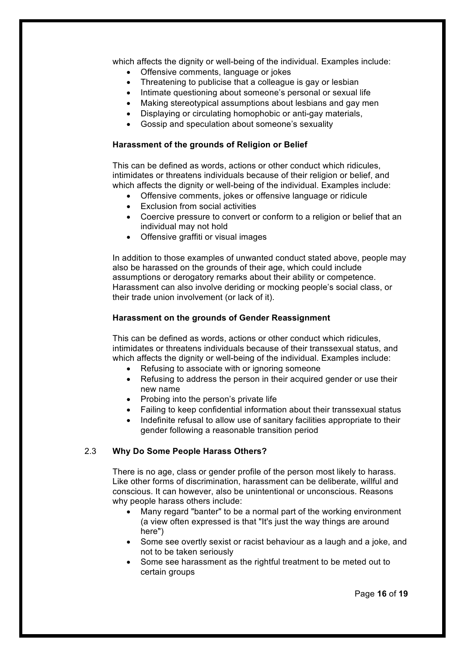which affects the dignity or well-being of the individual. Examples include:

- Offensive comments, language or jokes
- Threatening to publicise that a colleague is gay or lesbian
- Intimate questioning about someone's personal or sexual life
- Making stereotypical assumptions about lesbians and gay men
- Displaying or circulating homophobic or anti-gay materials,
- Gossip and speculation about someone's sexuality

#### **Harassment of the grounds of Religion or Belief**

This can be defined as words, actions or other conduct which ridicules, intimidates or threatens individuals because of their religion or belief, and which affects the dignity or well-being of the individual. Examples include:

- Offensive comments, jokes or offensive language or ridicule
- **Exclusion from social activities**
- Coercive pressure to convert or conform to a religion or belief that an individual may not hold
- Offensive graffiti or visual images

In addition to those examples of unwanted conduct stated above, people may also be harassed on the grounds of their age, which could include assumptions or derogatory remarks about their ability or competence. Harassment can also involve deriding or mocking people's social class, or their trade union involvement (or lack of it).

#### **Harassment on the grounds of Gender Reassignment**

This can be defined as words, actions or other conduct which ridicules, intimidates or threatens individuals because of their transsexual status, and which affects the dignity or well-being of the individual. Examples include:

- Refusing to associate with or ignoring someone
- Refusing to address the person in their acquired gender or use their new name
- Probing into the person's private life
- Failing to keep confidential information about their transsexual status
- Indefinite refusal to allow use of sanitary facilities appropriate to their gender following a reasonable transition period

### 2.3 **Why Do Some People Harass Others?**

There is no age, class or gender profile of the person most likely to harass. Like other forms of discrimination, harassment can be deliberate, willful and conscious. It can however, also be unintentional or unconscious. Reasons why people harass others include:

- Many regard "banter" to be a normal part of the working environment (a view often expressed is that "It's just the way things are around here")
- Some see overtly sexist or racist behaviour as a laugh and a joke, and not to be taken seriously
- Some see harassment as the rightful treatment to be meted out to certain groups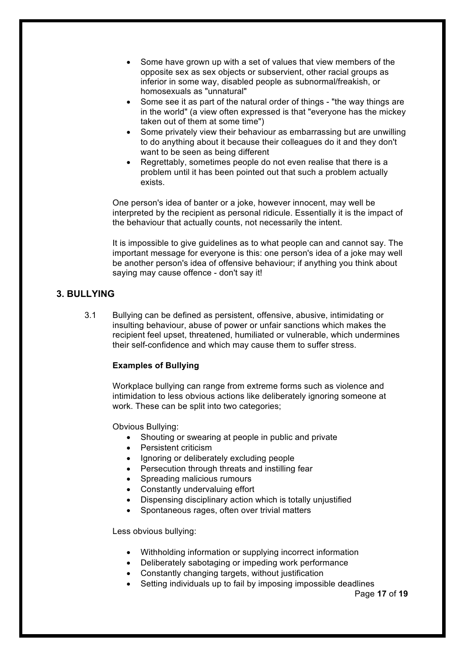- Some have grown up with a set of values that view members of the opposite sex as sex objects or subservient, other racial groups as inferior in some way, disabled people as subnormal/freakish, or homosexuals as "unnatural"
- Some see it as part of the natural order of things "the way things are in the world" (a view often expressed is that "everyone has the mickey taken out of them at some time")
- Some privately view their behaviour as embarrassing but are unwilling to do anything about it because their colleagues do it and they don't want to be seen as being different
- Regrettably, sometimes people do not even realise that there is a problem until it has been pointed out that such a problem actually exists.

One person's idea of banter or a joke, however innocent, may well be interpreted by the recipient as personal ridicule. Essentially it is the impact of the behaviour that actually counts, not necessarily the intent.

It is impossible to give guidelines as to what people can and cannot say. The important message for everyone is this: one person's idea of a joke may well be another person's idea of offensive behaviour; if anything you think about saying may cause offence - don't say it!

### **3. BULLYING**

3.1 Bullying can be defined as persistent, offensive, abusive, intimidating or insulting behaviour, abuse of power or unfair sanctions which makes the recipient feel upset, threatened, humiliated or vulnerable, which undermines their self-confidence and which may cause them to suffer stress.

#### **Examples of Bullying**

Workplace bullying can range from extreme forms such as violence and intimidation to less obvious actions like deliberately ignoring someone at work. These can be split into two categories;

Obvious Bullying:

- Shouting or swearing at people in public and private
- Persistent criticism
- Ignoring or deliberately excluding people
- Persecution through threats and instilling fear
- Spreading malicious rumours
- Constantly undervaluing effort
- Dispensing disciplinary action which is totally unjustified
- Spontaneous rages, often over trivial matters

Less obvious bullying:

- Withholding information or supplying incorrect information
- Deliberately sabotaging or impeding work performance
- Constantly changing targets, without justification
- Setting individuals up to fail by imposing impossible deadlines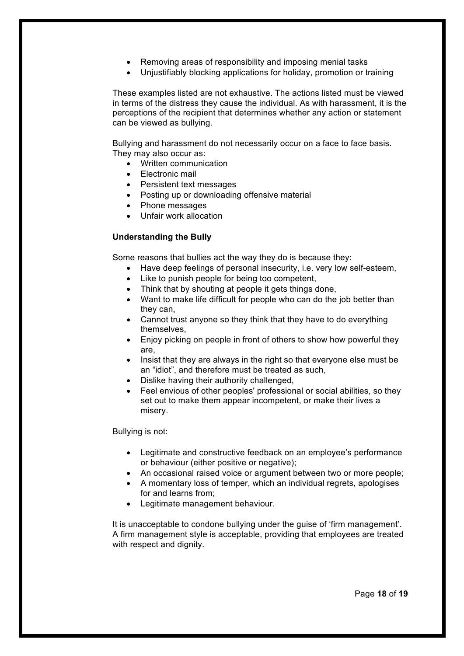- Removing areas of responsibility and imposing menial tasks
- Unjustifiably blocking applications for holiday, promotion or training

These examples listed are not exhaustive. The actions listed must be viewed in terms of the distress they cause the individual. As with harassment, it is the perceptions of the recipient that determines whether any action or statement can be viewed as bullying.

Bullying and harassment do not necessarily occur on a face to face basis. They may also occur as:

- Written communication
- Electronic mail
- Persistent text messages
- Posting up or downloading offensive material
- Phone messages
- Unfair work allocation

### **Understanding the Bully**

Some reasons that bullies act the way they do is because they:

- Have deep feelings of personal insecurity, i.e. very low self-esteem,
- Like to punish people for being too competent,
- Think that by shouting at people it gets things done.
- Want to make life difficult for people who can do the job better than they can,
- Cannot trust anyone so they think that they have to do everything themselves,
- Enjoy picking on people in front of others to show how powerful they are,
- Insist that they are always in the right so that everyone else must be an "idiot", and therefore must be treated as such,
- Dislike having their authority challenged,
- Feel envious of other peoples' professional or social abilities, so they set out to make them appear incompetent, or make their lives a misery.

Bullying is not:

- Legitimate and constructive feedback on an employee's performance or behaviour (either positive or negative);
- An occasional raised voice or argument between two or more people;
- A momentary loss of temper, which an individual regrets, apologises for and learns from;
- Legitimate management behaviour.

It is unacceptable to condone bullying under the guise of 'firm management'. A firm management style is acceptable, providing that employees are treated with respect and dignity.